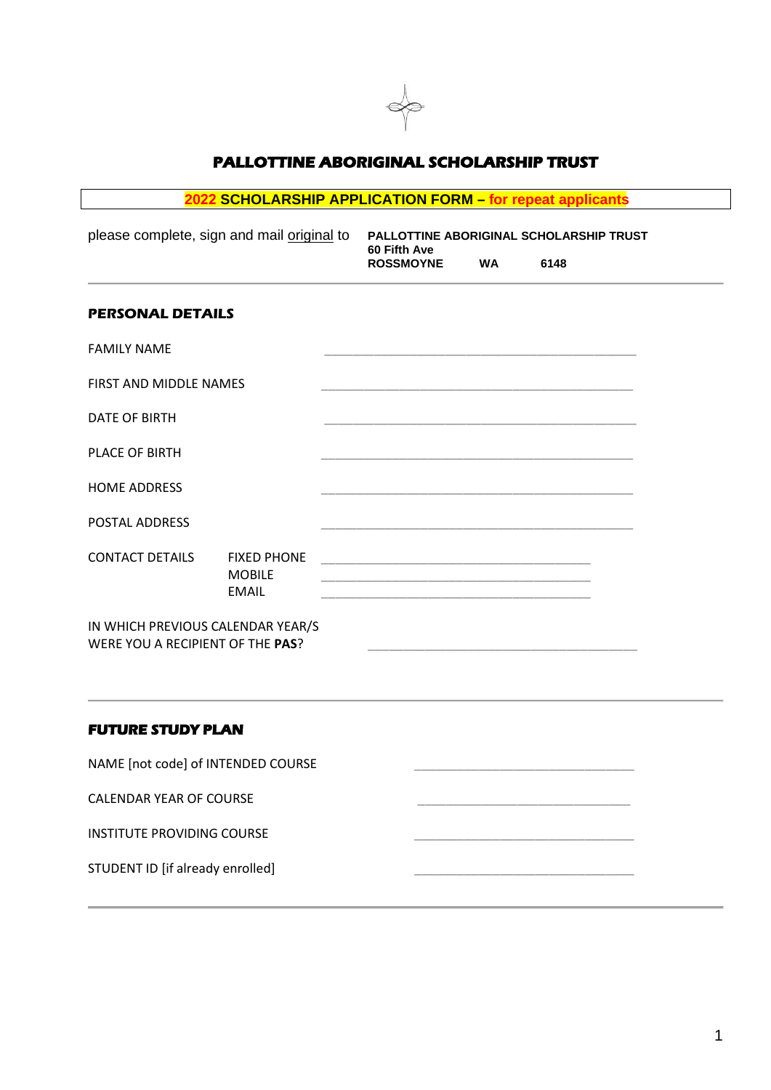

## **PALLOTTINE ABORIGINAL SCHOLARSHIP TRUST**

# **2022 SCHOLARSHIP APPLICATION FORM – for repeat applicants**

| please complete, sign and mail original to                            |                                                     | PALLOTTINE ABORIGINAL SCHOLARSHIP TRUST<br>60 Fifth Ave                                                                |           |                                                                                                                        |  |
|-----------------------------------------------------------------------|-----------------------------------------------------|------------------------------------------------------------------------------------------------------------------------|-----------|------------------------------------------------------------------------------------------------------------------------|--|
|                                                                       |                                                     | <b>ROSSMOYNE</b>                                                                                                       | <b>WA</b> | 6148                                                                                                                   |  |
| <b>PERSONAL DETAILS</b>                                               |                                                     |                                                                                                                        |           |                                                                                                                        |  |
| <b>FAMILY NAME</b>                                                    |                                                     |                                                                                                                        |           |                                                                                                                        |  |
| <b>FIRST AND MIDDLE NAMES</b>                                         |                                                     |                                                                                                                        |           |                                                                                                                        |  |
| DATE OF BIRTH                                                         |                                                     |                                                                                                                        |           |                                                                                                                        |  |
| <b>PLACE OF BIRTH</b>                                                 |                                                     | <u> 1989 - Jan James James James James James James James James James James James James James James James James J</u>   |           |                                                                                                                        |  |
| <b>HOME ADDRESS</b>                                                   |                                                     | <u> 1989 - Johann John Stoff, deutscher Stoffen und der Stoffen und der Stoffen und der Stoffen und der Stoffen un</u> |           |                                                                                                                        |  |
| <b>POSTAL ADDRESS</b>                                                 |                                                     | <u> 1989 - Johann John Harry Harry Harry Harry Harry Harry Harry Harry Harry Harry Harry Harry Harry Harry Harry H</u> |           |                                                                                                                        |  |
| <b>CONTACT DETAILS</b>                                                | <b>FIXED PHONE</b><br><b>MOBILE</b><br><b>EMAIL</b> | <u> 1989 - Johann John Harry Harry Harry Harry Harry Harry Harry Harry Harry Harry Harry Harry Harry Harry Harry H</u> |           |                                                                                                                        |  |
| IN WHICH PREVIOUS CALENDAR YEAR/S<br>WERE YOU A RECIPIENT OF THE PAS? |                                                     |                                                                                                                        |           | <u> 1989 - Johann John Harry Harry Harry Harry Harry Harry Harry Harry Harry Harry Harry Harry Harry Harry Harry H</u> |  |
|                                                                       |                                                     |                                                                                                                        |           |                                                                                                                        |  |

## **FUTURE STUDY PLAN**

NAME [not code] of INTENDED COURSE

CALENDAR YEAR OF COURSE

INSTITUTE PROVIDING COURSE

STUDENT ID [if already enrolled]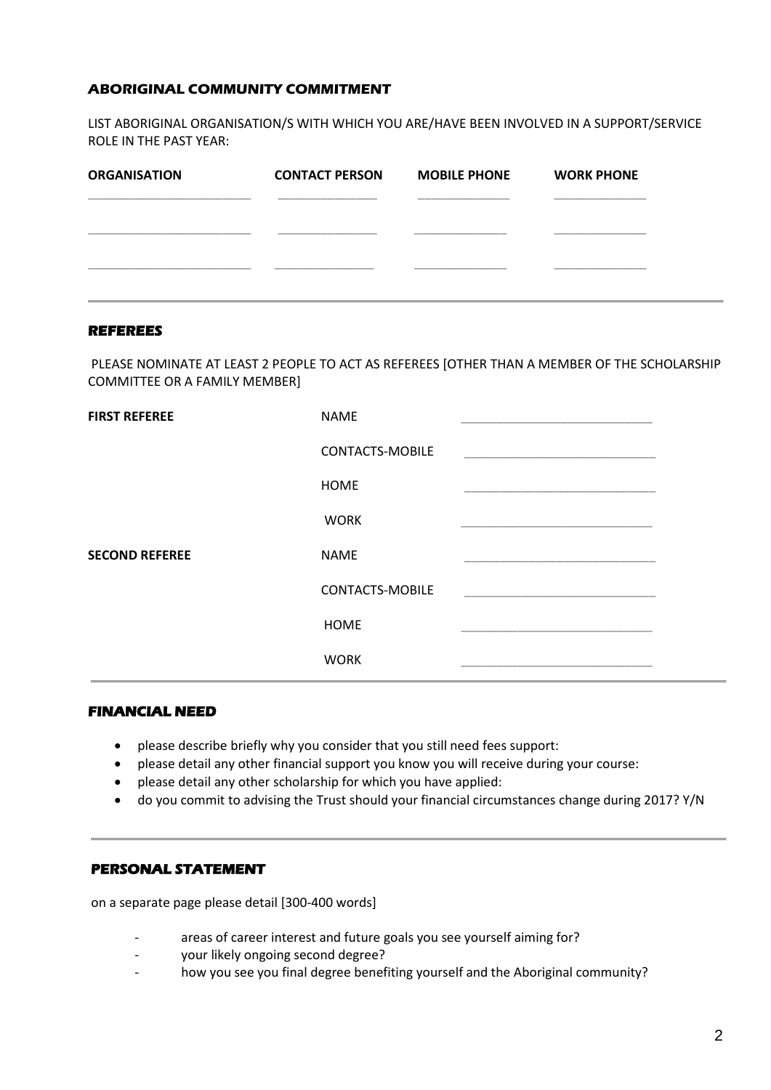## **ABORIGINAL COMMUNITY COMMITMENT**

LIST ABORIGINAL ORGANISATION/S WITH WHICH YOU ARE/HAVE BEEN INVOLVED IN A SUPPORT/SERVICE ROLE IN THE PAST YEAR:

| <b>ORGANISATION</b> | <b>CONTACT PERSON</b> | <b>MOBILE PHONE</b> | <b>WORK PHONE</b> |
|---------------------|-----------------------|---------------------|-------------------|
|                     |                       |                     |                   |
|                     |                       |                     |                   |
|                     |                       |                     |                   |
|                     |                       |                     |                   |

#### **REFEREES**

PLEASE NOMINATE AT LEAST 2 PEOPLE TO ACT AS REFEREES [OTHER THAN A MEMBER OF THE SCHOLARSHIP COMMITTEE OR A FAMILY MEMBER]

| <b>FIRST REFEREE</b>  | <b>NAME</b>            |                                                                                                                      |
|-----------------------|------------------------|----------------------------------------------------------------------------------------------------------------------|
|                       | <b>CONTACTS-MOBILE</b> |                                                                                                                      |
|                       | <b>HOME</b>            | <u> 1989 - Johann Stein, marwolaethau a bhann an t-Amhain an t-Amhain an t-Amhain an t-Amhain an t-Amhain an t-A</u> |
|                       | <b>WORK</b>            | <u> 1989 - Jan James James James James James James James James James James James James James James James James J</u> |
| <b>SECOND REFEREE</b> | <b>NAME</b>            | the contract of the contract of the contract of the contract of the contract of the contract of the contract of      |
|                       | <b>CONTACTS-MOBILE</b> | <u> 1990 - Johann Stein, mars et al. (</u>                                                                           |
|                       | <b>HOME</b>            |                                                                                                                      |
|                       | <b>WORK</b>            |                                                                                                                      |

## **FINANCIAL NEED**

- please describe briefly why you consider that you still need fees support:
- please detail any other financial support you know you will receive during your course:
- please detail any other scholarship for which you have applied:
- do you commit to advising the Trust should your financial circumstances change during 2017? Y/N

## **PERSONAL STATEMENT**

on a separate page please detail [300-400 words]

- areas of career interest and future goals you see yourself aiming for?
- your likely ongoing second degree?
- how you see you final degree benefiting yourself and the Aboriginal community?